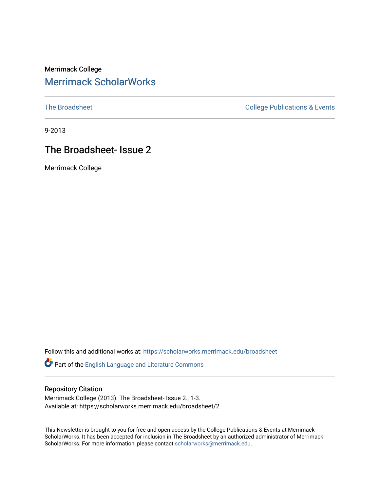## Merrimack College [Merrimack ScholarWorks](https://scholarworks.merrimack.edu/)

[The Broadsheet](https://scholarworks.merrimack.edu/broadsheet) **College Publications & Events** 

9-2013

## The Broadsheet- Issue 2

Merrimack College

Follow this and additional works at: [https://scholarworks.merrimack.edu/broadsheet](https://scholarworks.merrimack.edu/broadsheet?utm_source=scholarworks.merrimack.edu%2Fbroadsheet%2F2&utm_medium=PDF&utm_campaign=PDFCoverPages) 

Part of the [English Language and Literature Commons](http://network.bepress.com/hgg/discipline/455?utm_source=scholarworks.merrimack.edu%2Fbroadsheet%2F2&utm_medium=PDF&utm_campaign=PDFCoverPages)

#### Repository Citation

Merrimack College (2013). The Broadsheet- Issue 2., 1-3. Available at: https://scholarworks.merrimack.edu/broadsheet/2

This Newsletter is brought to you for free and open access by the College Publications & Events at Merrimack ScholarWorks. It has been accepted for inclusion in The Broadsheet by an authorized administrator of Merrimack ScholarWorks. For more information, please contact [scholarworks@merrimack.edu.](mailto:scholarworks@merrimack.edu)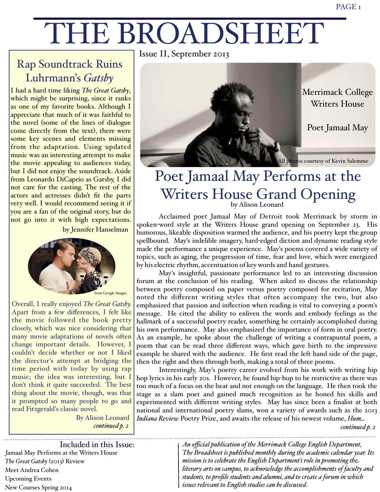# THE BROADSHEET

## Rap Soundtrack Ruins Luhrmann's *Gatsby*

I had a hard time liking *The Great Gatsby*, which might be surprising, since it ranks as one of my favorite books. Although I appreciate that much of it was faithful to the novel (some of the lines of dialogue come directly from the text), there were some key scenes and elements missing from the adaptation. Using updated music was an interesting attempt to make the movie appealing to audiences today, but I did not enjoy the soundtrack. Aside from Leonardo DiCaprio as Gatsby, I did not care for the casting. The rest of the actors and actresses didn't fit the parts very well. I would recommend seeing it if you are a fan of the original story, but do not go into it with high expectations. by Jennifer Hanselman



Overall, I really enjoyed *The Great Gatsby.*  Apart from a few differences, I felt like the movie followed the book pretty closely, which was nice considering that many movie adaptations of novels often change important details. However, I couldn't decide whether or not I liked the director's attempt at bridging the time period with today by using rap music; the idea was interesting, but I don't think it quite succeeded. The best thing about the movie, though, was that it prompted so many people to go and read Fitzgerald's classic novel.

By Alison Leonard *continued p. 2*

Issue II, September 2013



## Poet Jamaal May Performs at the Writers House Grand Opening by Alison Leonard

Acclaimed poet Jamaal May of Detroit took Merrimack by storm in spoken-word style at the Writers House grand opening on September 23. His humorous, likeable disposition warmed the audience, and his poetry kept the group spellbound. May's indelible imagery, hard-edged diction and dynamic reading style made the performance a unique experience. May's poems covered a wide variety of topics, such as aging, the progression of time, fear and love, which were energized by his electric rhythm, accentuation of key words and hand gestures.

May's insightful, passionate performance led to an interesting discussion forum at the conclusion of his reading. When asked to discuss the relationship between poetry composed on paper versus poetry composed for recitation, May noted the different writing styles that often accompany the two, but also emphasized that passion and inflection when reading is vital to conveying a poem's message. He cited the ability to enliven the words and embody feelings as the hallmark of a successful poetry reader, something he certainly accomplished during his own performance. May also emphasized the importance of form in oral poetry. As an example, he spoke about the challenge of writing a contrapuntal poem, a poem that can be read three different ways, which gave birth to the impressive example he shared with the audience. He first read the left hand side of the page, then the right and then through both, making a total of three poems.

Interestingly, May's poetry career evolved from his work with writing hip hop lyrics in his early 20s. However, he found hip-hop to be restrictive as there was too much of a focus on the beat and not enough on the language. He then took the stage as a slam poet and gained much recognition as he honed his skills and experimented with different writing styles. May has since been a finalist at both national and international poetry slams, won a variety of awards such as the 2013 *Indiana Review* Poetry Prize, and awaits the release of his newest volume, *Hum*.

*continued p. 2*

Jamaal May Performs at the Writers House *The Great Gatsby* (2013) Review Meet Andrea Cohen Upcoming Events New Courses Spring 2014 Included in this Issue:

Ĩ

*An official publication of the Merrimack Co#ege English Department, The Broadsheet is published monthly during the academic calendar year. Its mission is to celebrate the English Department's role in promoting the literary arts on campus, to acknowledge the accomplishments of faculty and students, to profile students and alumni, and to create a forum in which issues relevant to English studies can be discussed.*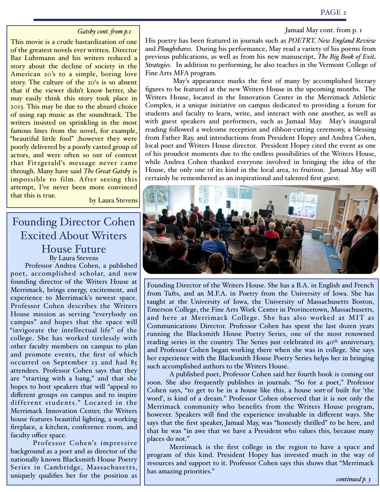#### PAGE 2

#### Jamaal May cont. from p. 1

#### *Gatsby cont. from p.1*

This movie is a crude bastardization of one of the greatest novels ever written. Director Baz Luhrmann and his writers reduced a story about the decline of society in the American 20's to a simple, boring love story. The culture of the 20's is so absent that if the viewer didn't know better, she may easily think this story took place in 2013. This may be due to the absurd choice of using rap music as the soundtrack. The writers insisted on sprinkling in the most famous lines from the novel, for example, "beautiful little fool" ;however they were poorly delivered by a poorly casted group of actors, and were often so out of context that Fitzgerald's message never came through. Many have said *The Great Gatsby* is impossible to film. After seeing this attempt, I've never been more convinced that this is true.<br>by Laura Stevens

## Founding Director Cohen Excited About Writers House Future By Laura Stevens

 Professor Andrea Cohen, a published poet, accomplished scholar, and now founding director of the Writers House at Merrimack, brings energy, excitement, and experience to Merrimack's newest space. Professor Cohen describes the Writers House mission as serving "everybody on campus" and hopes that the space will "invigorate the intellectual life" of the college. She has worked tirelessly with other faculty members on campus to plan and promote events, the first of which occurred on September 23 and had 85 attendees. Professor Cohen says that they are "starting with a bang," and that she hopes to host speakers that will "appeal to different groups on campus and to inspire different students." Located in the Merrimack Innovation Center, the Writers house features beautiful lighting, a working fireplace, a kitchen, conference room, and faculty office space.

Professor Cohen's impressive background as a poet and as director of the nationally known Blacksmith House Poetry Series in Cambridge, Massachusetts, uniquely qualifies her for the position as His poetry has been featured in journals such as *POETRY, New England Review*  and *Ploughshares.* During his performance, May read a variety of his poems from previous publications, as well as from his new manuscript, *The Big Book of Exit Strategies*. In addition to performing, he also teaches in the Vermont College of Fine Arts MFA program.

 May's appearance marks the first of many by accomplished literary figures to be featured at the new Writers House in the upcoming months. The Writers House, located in the Innovation Center in the Merrimack Athletic Complex, is a unique initiative on campus dedicated to providing a forum for students and faculty to learn, write, and interact with one another, as well as with guest speakers and performers, such as Jamaal May. May's inaugural reading followed a welcome reception and ribbon-cutting ceremony, a blessing from Father Ray, and introductions from President Hopey and Andrea Cohen, local poet and Writers House director. President Hopey cited the event as one of his proudest moments due to the endless possibilities of the Writers House, while Andrea Cohen thanked everyone involved in bringing the idea of the House, the only one of its kind in the local area, to fruition. Jamaal May will certainly be remembered as an inspirational and talented first guest.



Founding Director of the Writers House. She has a B.A. in English and French from Tufts, and an M.F.A. in Poetry from the University of Iowa. She has taught at the University of Iowa, the University of Massachusetts Boston, Emerson College, the Fine Arts Work Center in Provincetown, Massachusetts, and here at Merrimack College. She has also worked at MIT as Communications Director. Professor Cohen has spent the last dozen years running the Blacksmith House Poetry Series, one of the most renowned reading series in the country. The Series just celebrated its 40<sup>th</sup> anniversary, and Professor Cohen began working there when she was in college. She says her experience with the Blacksmith House Poetry Series helps her in bringing such accomplished authors to the Writers House.

A published poet, Professor Cohen said her fourth book is coming out soon. She also frequently publishes in journals. "So for a poet," Professor Cohen says, "to get to be in a house like this, a house sort-of built for 'the word', is kind of a dream." Professor Cohen observed that it is not only the Merrimack community who benefits from the Writers House program, however. Speakers will find the experience invaluable in different ways. She says that the first speaker, Jamaal May, was "honestly thrilled" to be here, and that he was "in awe that we have a President who values this, because many places do not."

Merrimack is the first college in the region to have a space and program of this kind. President Hopey has invested much in the way of resources and support to it. Professor Cohen says this shows that "Merrimack has amazing priorities."

*continued p. 3*